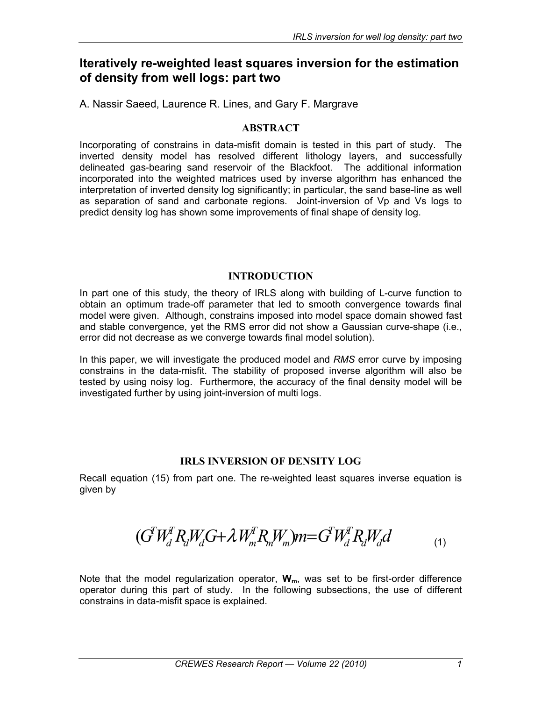# **Iteratively re-weighted least squares inversion for the estimation of density from well logs: part two**

A. Nassir Saeed, Laurence R. Lines, and Gary F. Margrave

#### **ABSTRACT**

Incorporating of constrains in data-misfit domain is tested in this part of study. The inverted density model has resolved different lithology layers, and successfully delineated gas-bearing sand reservoir of the Blackfoot. The additional information incorporated into the weighted matrices used by inverse algorithm has enhanced the interpretation of inverted density log significantly; in particular, the sand base-line as well as separation of sand and carbonate regions. Joint-inversion of Vp and Vs logs to predict density log has shown some improvements of final shape of density log.

#### **INTRODUCTION**

In part one of this study, the theory of IRLS along with building of L-curve function to obtain an optimum trade-off parameter that led to smooth convergence towards final model were given. Although, constrains imposed into model space domain showed fast and stable convergence, yet the RMS error did not show a Gaussian curve-shape (i.e., error did not decrease as we converge towards final model solution).

In this paper, we will investigate the produced model and *RMS* error curve by imposing constrains in the data-misfit. The stability of proposed inverse algorithm will also be tested by using noisy log. Furthermore, the accuracy of the final density model will be investigated further by using joint-inversion of multi logs.

### **IRLS INVERSION OF DENSITY LOG**

Recall equation (15) from part one. The re-weighted least squares inverse equation is given by

$$
(G^T W_d^T R_d W_d G + \lambda W_m^T R_m W_m) m = G^T W_d^T R_d W_d d \tag{1}
$$

Note that the model regularization operator, W<sub>m</sub>, was set to be first-order difference operator during this part of study. In the following subsections, the use of different constrains in data-misfit space is explained.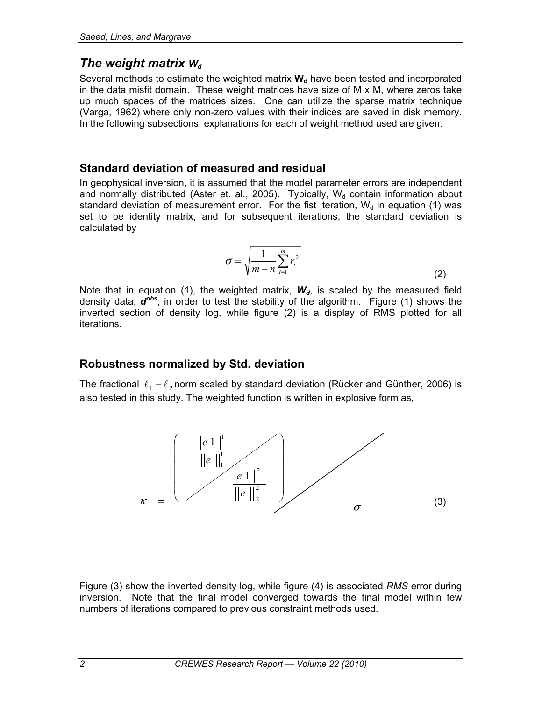### *The weight matrix*  $W_d$

Several methods to estimate the weighted matrix  $W_d$  have been tested and incorporated in the data misfit domain. These weight matrices have size of M x M, where zeros take up much spaces of the matrices sizes. One can utilize the sparse matrix technique (Varga, 1962) where only non-zero values with their indices are saved in disk memory. In the following subsections, explanations for each of weight method used are given.

## **Standard deviation of measured and residual**

In geophysical inversion, it is assumed that the model parameter errors are independent and normally distributed (Aster et. al., 2005). Typically,  $W<sub>d</sub>$  contain information about standard deviation of measurement error. For the fist iteration,  $W_d$  in equation (1) was set to be identity matrix, and for subsequent iterations, the standard deviation is calculated by

$$
\sigma = \sqrt{\frac{1}{m-n} \sum_{i=1}^{m} r_i^2}
$$
 (2)

Note that in equation (1), the weighted matrix,  $W_d$ , is scaled by the measured field density data, *dobs*, in order to test the stability of the algorithm. Figure (1) shows the inverted section of density log, while figure (2) is a display of RMS plotted for all iterations.

### **Robustness normalized by Std. deviation**

The fractional  $\ell_1 - \ell_2$  norm scaled by standard deviation (Rücker and Günther, 2006) is also tested in this study. The weighted function is written in explosive form as,



Figure (3) show the inverted density log, while figure (4) is associated *RMS* error during inversion. Note that the final model converged towards the final model within few numbers of iterations compared to previous constraint methods used.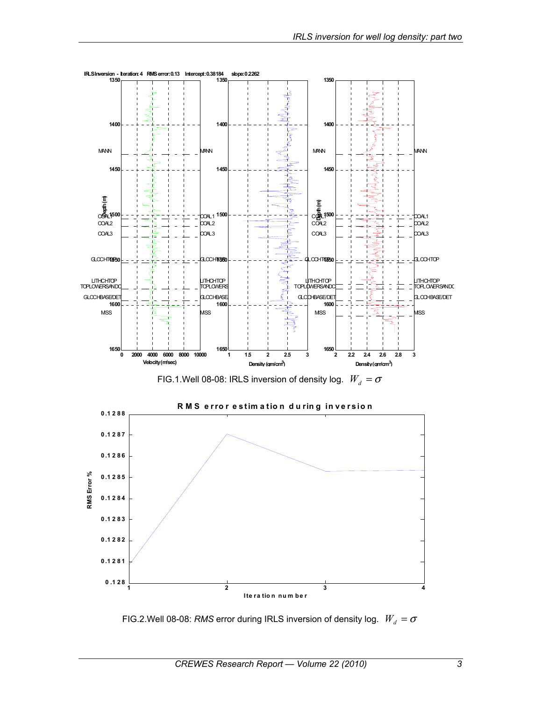

FIG.2.Well 08-08: *RMS* error during IRLS inversion of density log.  $W_d = \sigma$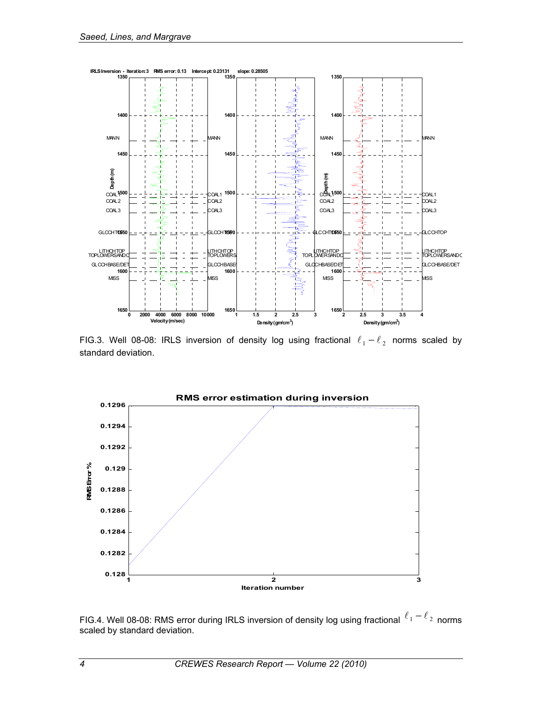

FIG.3. Well 08-08: IRLS inversion of density log using fractional  $\ell_1 - \ell_2$  norms scaled by standard deviation.



FIG.4. Well 08-08: RMS error during IRLS inversion of density log using fractional  $\ell_1 - \ell_2$  norms scaled by standard deviation.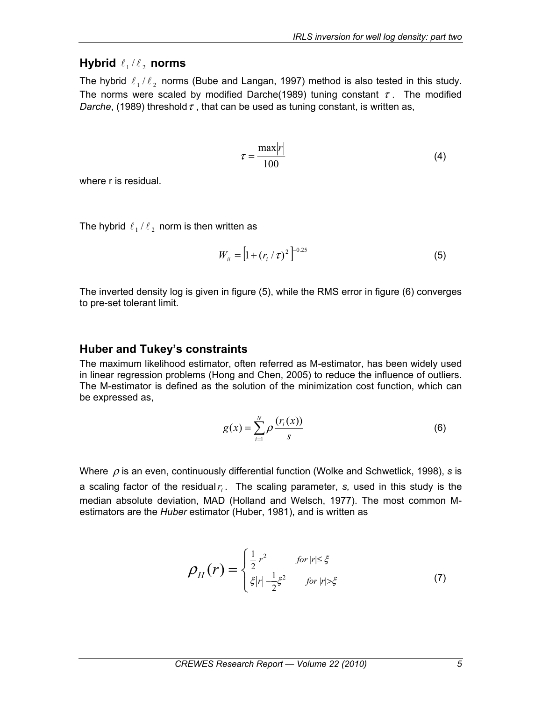# **Hybrid**  $\ell_1 / \ell_2$  norms

The hybrid  $\ell_1 / \ell_2$  norms (Bube and Langan, 1997) method is also tested in this study. The norms were scaled by modified Darche(1989) tuning constant  $\tau$ . The modified *Darche*, (1989) threshold  $\tau$ , that can be used as tuning constant, is written as,

$$
\tau = \frac{\text{max}|r|}{100} \tag{4}
$$

where r is residual.

The hybrid  $\ell_1 / \ell_2$  norm is then written as

$$
W_{ii} = \left[1 + \left(r_i / \tau\right)^2\right]^{-0.25}
$$
 (5)

The inverted density log is given in figure (5), while the RMS error in figure (6) converges to pre-set tolerant limit.

### **Huber and Tukey's constraints**

The maximum likelihood estimator, often referred as M-estimator, has been widely used in linear regression problems (Hong and Chen, 2005) to reduce the influence of outliers. The M-estimator is defined as the solution of the minimization cost function, which can be expressed as,

$$
g(x) = \sum_{i=1}^{N} \rho \frac{(r_i(x))}{s}
$$
 (6)

Where ρ is an even, continuously differential function (Wolke and Schwetlick, 1998), *s* is a scaling factor of the residual  $r<sub>i</sub>$ . The scaling parameter, *s*, used in this study is the median absolute deviation, MAD (Holland and Welsch, 1977). The most common Mestimators are the *Huber* estimator (Huber, 1981), and is written as

$$
\rho_{H}(r) = \begin{cases} \frac{1}{2}r^{2} & \text{for } |r| \leq \xi \\ \xi |r| - \frac{1}{2}\xi^{2} & \text{for } |r| > \xi \end{cases}
$$
 (7)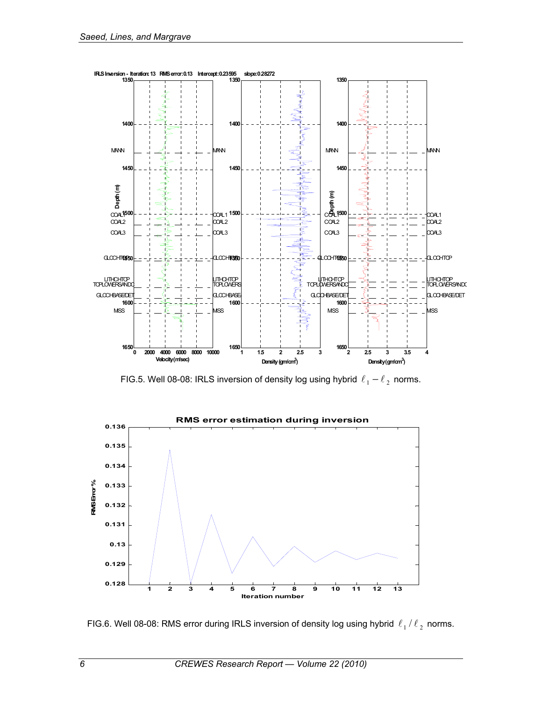

FIG.5. Well 08-08: IRLS inversion of density log using hybrid  $\ell_1 - \ell_2$  norms.



FIG.6. Well 08-08: RMS error during IRLS inversion of density log using hybrid  $\ell_1 / \ell_2$  norms.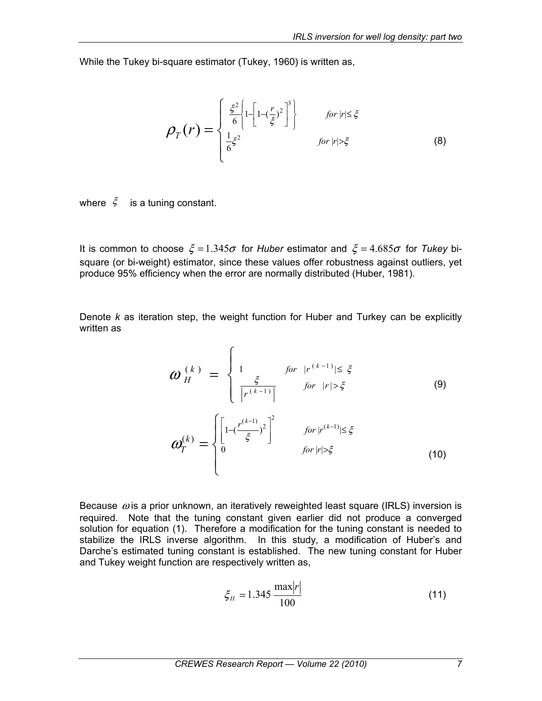While the Tukey bi-square estimator (Tukey, 1960) is written as,

$$
\rho_T(r) = \begin{cases} \frac{\xi^2}{6} \left\{ 1 - \left[ 1 - \left(\frac{r}{\xi}\right)^2 \right]^3 \right\} & \text{for } |r| \le \xi\\ \frac{1}{6}\xi^2 & \text{for } |r| > \xi \end{cases}
$$
 (8)

where  $\zeta$  is a tuning constant.

It is common to choose  $\xi = 1.345\sigma$  for *Huber* estimator and  $\xi = 4.685\sigma$  for *Tukey* bisquare (or bi-weight) estimator, since these values offer robustness against outliers, yet produce 95% efficiency when the error are normally distributed (Huber, 1981).

Denote *k* as iteration step, the weight function for Huber and Turkey can be explicitly written as

$$
\omega_{H}^{(k)} = \begin{cases} 1 & \text{for } |r^{(k-1)}| \leq \xi \\ \frac{\xi}{|r^{(k-1)}|} & \text{for } |r| > \xi \end{cases}
$$
(9)

$$
\boldsymbol{w}_{T}^{(k)} = \begin{cases} \left[1 - \left(\frac{r^{(k-1)}}{\xi}\right)^{2}\right]^{2} & \text{for } |r^{(k-1)}| \leq \xi\\ 0 & \text{for } |r| > \xi \end{cases}
$$
 (10)

Because  $\omega$  is a prior unknown, an iteratively reweighted least square (IRLS) inversion is required. Note that the tuning constant given earlier did not produce a converged solution for equation (1). Therefore a modification for the tuning constant is needed to stabilize the IRLS inverse algorithm. In this study, a modification of Huber's and Darche's estimated tuning constant is established. The new tuning constant for Huber and Tukey weight function are respectively written as,

$$
\xi_H = 1.345 \frac{\text{max}|r|}{100} \tag{11}
$$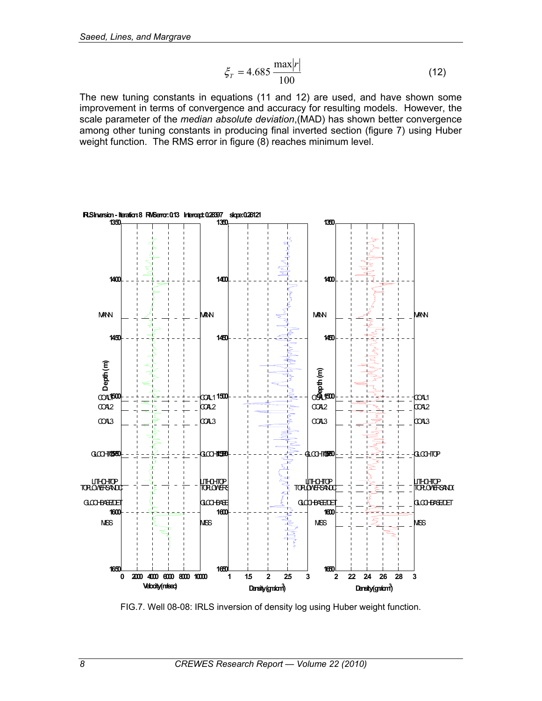$$
\xi_T = 4.685 \frac{\text{max}|r|}{100} \tag{12}
$$

The new tuning constants in equations (11 and 12) are used, and have shown some improvement in terms of convergence and accuracy for resulting models. However, the scale parameter of the *median absolute deviation*,(MAD) has shown better convergence among other tuning constants in producing final inverted section (figure 7) using Huber weight function. The RMS error in figure (8) reaches minimum level.



FIG.7. Well 08-08: IRLS inversion of density log using Huber weight function.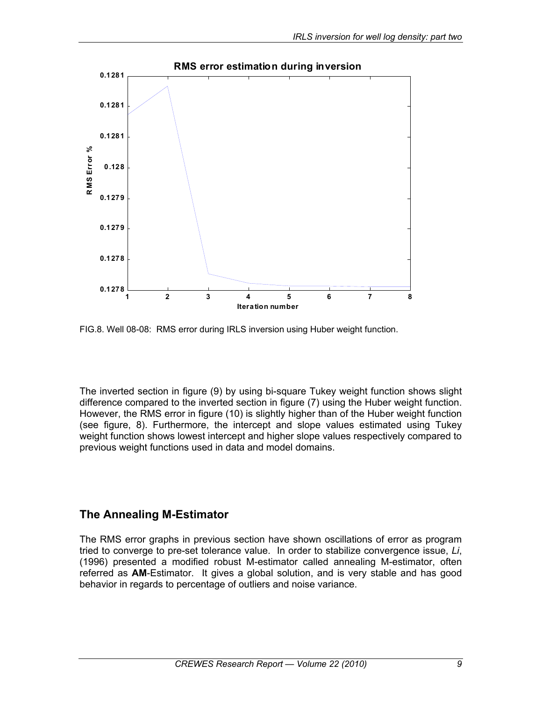

FIG.8. Well 08-08: RMS error during IRLS inversion using Huber weight function.

The inverted section in figure (9) by using bi-square Tukey weight function shows slight difference compared to the inverted section in figure (7) using the Huber weight function. However, the RMS error in figure (10) is slightly higher than of the Huber weight function (see figure, 8). Furthermore, the intercept and slope values estimated using Tukey weight function shows lowest intercept and higher slope values respectively compared to previous weight functions used in data and model domains.

### **The Annealing M-Estimator**

The RMS error graphs in previous section have shown oscillations of error as program tried to converge to pre-set tolerance value. In order to stabilize convergence issue, *Li*, (1996) presented a modified robust M-estimator called annealing M-estimator, often referred as **AM**-Estimator. It gives a global solution, and is very stable and has good behavior in regards to percentage of outliers and noise variance.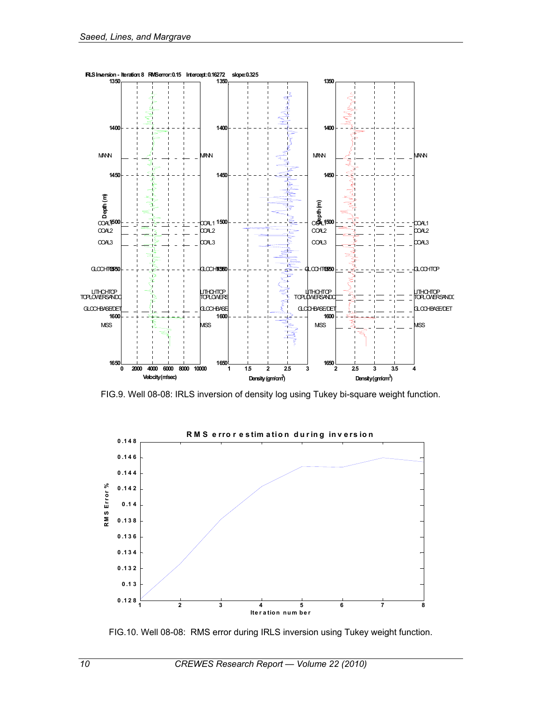

FIG.9. Well 08-08: IRLS inversion of density log using Tukey bi-square weight function.



FIG.10. Well 08-08: RMS error during IRLS inversion using Tukey weight function.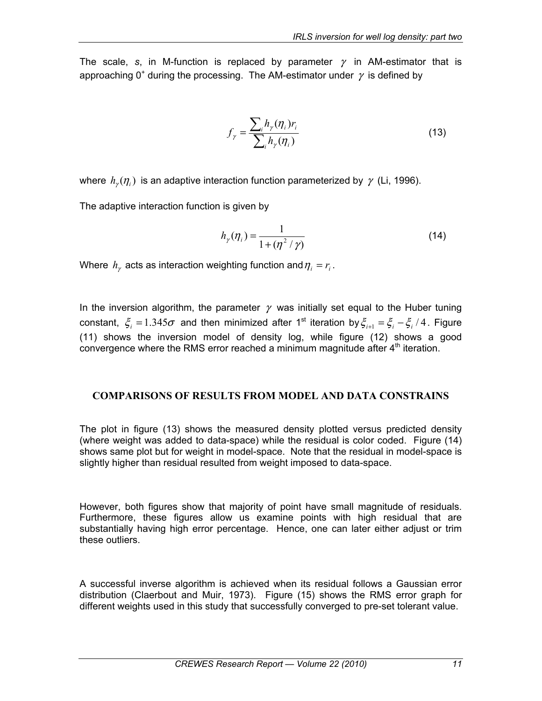The scale, *s*, in M-function is replaced by parameter  $\gamma$  in AM-estimator that is approaching 0<sup>+</sup> during the processing. The AM-estimator under  $\gamma$  is defined by

$$
f_{\gamma} = \frac{\sum_{i} h_{\gamma}(\eta_{i}) r_{i}}{\sum_{i} h_{\gamma}(\eta_{i})}
$$
(13)

where  $h_{\nu}(\eta_i)$  is an adaptive interaction function parameterized by  $\gamma$  (Li, 1996).

The adaptive interaction function is given by

$$
h_{\gamma}(\eta_i) = \frac{1}{1 + (\eta^2 / \gamma)}
$$
\n(14)

Where  $h_{\gamma}$  acts as interaction weighting function and  $\eta_i = r_i$ .

In the inversion algorithm, the parameter  $\gamma$  was initially set equal to the Huber tuning constant,  $\xi_i = 1.345\sigma$  and then minimized after 1<sup>st</sup> iteration by  $\xi_{i+1} = \xi_i - \xi_i / 4$ . Figure (11) shows the inversion model of density log, while figure (12) shows a good convergence where the RMS error reached a minimum magnitude after 4<sup>th</sup> iteration.

#### **COMPARISONS OF RESULTS FROM MODEL AND DATA CONSTRAINS**

The plot in figure (13) shows the measured density plotted versus predicted density (where weight was added to data-space) while the residual is color coded. Figure (14) shows same plot but for weight in model-space. Note that the residual in model-space is slightly higher than residual resulted from weight imposed to data-space.

However, both figures show that majority of point have small magnitude of residuals. Furthermore, these figures allow us examine points with high residual that are substantially having high error percentage. Hence, one can later either adjust or trim these outliers.

A successful inverse algorithm is achieved when its residual follows a Gaussian error distribution (Claerbout and Muir, 1973). Figure (15) shows the RMS error graph for different weights used in this study that successfully converged to pre-set tolerant value.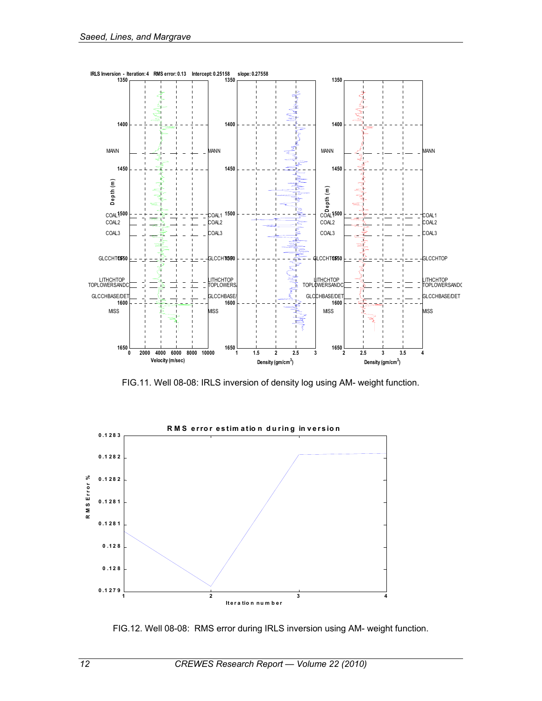

FIG.11. Well 08-08: IRLS inversion of density log using AM- weight function.



FIG.12. Well 08-08: RMS error during IRLS inversion using AM- weight function.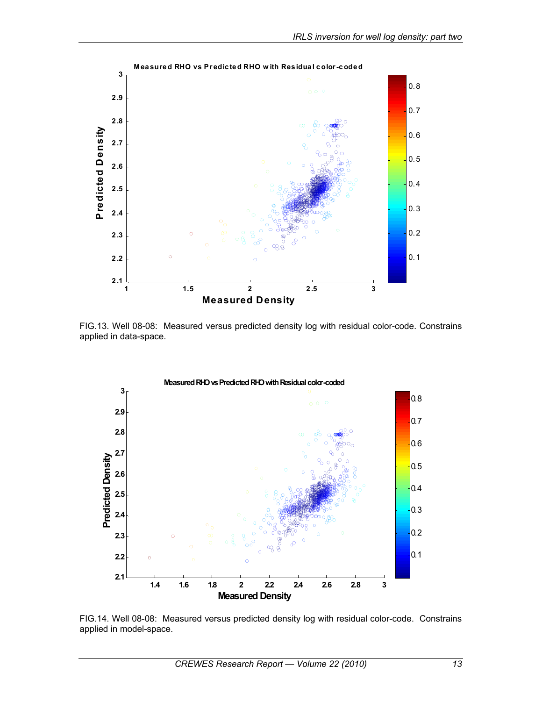

FIG.13. Well 08-08: Measured versus predicted density log with residual color-code. Constrains applied in data-space.



FIG.14. Well 08-08: Measured versus predicted density log with residual color-code. Constrains applied in model-space.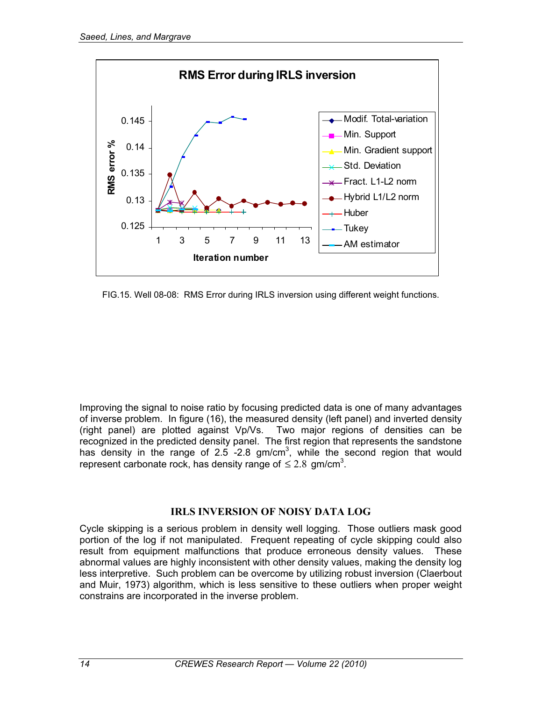

FIG.15. Well 08-08: RMS Error during IRLS inversion using different weight functions.

Improving the signal to noise ratio by focusing predicted data is one of many advantages of inverse problem. In figure (16), the measured density (left panel) and inverted density (right panel) are plotted against Vp/Vs. Two major regions of densities can be recognized in the predicted density panel. The first region that represents the sandstone has density in the range of 2.5 -2.8 gm/cm<sup>3</sup>, while the second region that would represent carbonate rock, has density range of  $\leq 2.8$  gm/cm<sup>3</sup>.

#### **IRLS INVERSION OF NOISY DATA LOG**

Cycle skipping is a serious problem in density well logging. Those outliers mask good portion of the log if not manipulated. Frequent repeating of cycle skipping could also result from equipment malfunctions that produce erroneous density values. These abnormal values are highly inconsistent with other density values, making the density log less interpretive. Such problem can be overcome by utilizing robust inversion (Claerbout and Muir, 1973) algorithm, which is less sensitive to these outliers when proper weight constrains are incorporated in the inverse problem.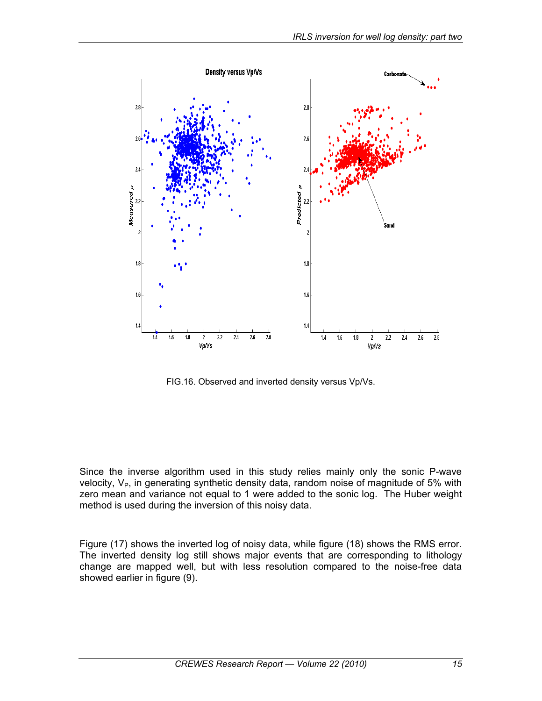

FIG.16. Observed and inverted density versus Vp/Vs.

Since the inverse algorithm used in this study relies mainly only the sonic P-wave velocity,  $V_{P}$ , in generating synthetic density data, random noise of magnitude of 5% with zero mean and variance not equal to 1 were added to the sonic log. The Huber weight method is used during the inversion of this noisy data.

Figure (17) shows the inverted log of noisy data, while figure (18) shows the RMS error. The inverted density log still shows major events that are corresponding to lithology change are mapped well, but with less resolution compared to the noise-free data showed earlier in figure (9).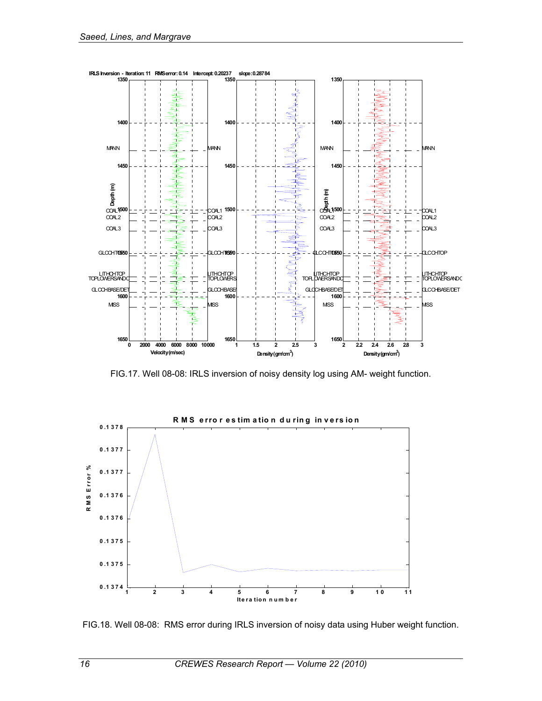

FIG.17. Well 08-08: IRLS inversion of noisy density log using AM- weight function.



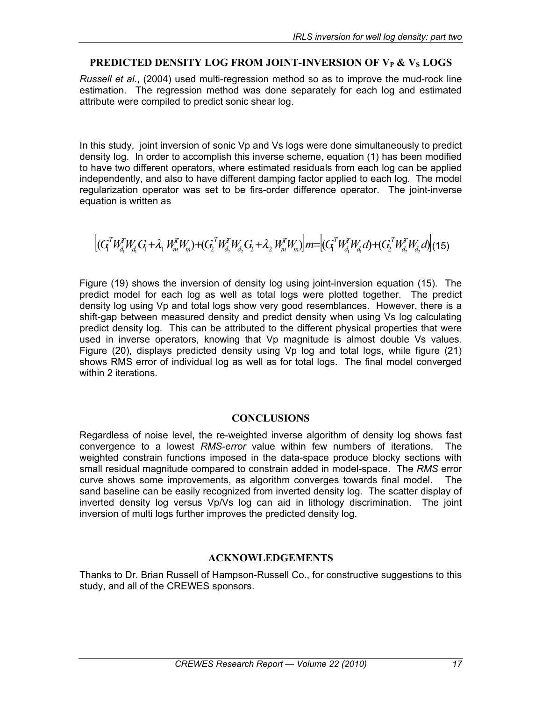#### **PREDICTED DENSITY LOG FROM JOINT-INVERSION OF V<sub>P</sub> & V<sub>S</sub> LOGS**

*Russell et al*., (2004) used multi-regression method so as to improve the mud-rock line estimation. The regression method was done separately for each log and estimated attribute were compiled to predict sonic shear log.

In this study, joint inversion of sonic Vp and Vs logs were done simultaneously to predict density log. In order to accomplish this inverse scheme, equation (1) has been modified to have two different operators, where estimated residuals from each log can be applied independently, and also to have different damping factor applied to each log. The model regularization operator was set to be firs-order difference operator. The joint-inverse equation is written as

 $\left| (G_1^T W_{d_1}^T W_{d_1} G_1 + \lambda_1 W_{m}^T W_{m}) + (G_2^T W_{d_2}^T W_{d_2} G_2 + \lambda_2 W_{m}^T W_{m}) \right| m = \left| (G_1^T W_{d_1}^T W_{d_1} d) + (G_2^T W_{d_2}^T W_{d_2} d) \right|$ *d T d T d T m T*  $d_2$   $u_2$   $v_1$   $v_m$ *T d T m T*  $d_1 \cup_1 \cdots \cup_n$ *T*  ${}^{T}W_{d_1}^{T}W_{d_1}G_1 + \lambda_1 W_m^{T}W_m + (G_2^{T}W_{d_1}^{T}W_{d_2}G_2 + \lambda_2 W_m^{T}W_m)$   $m = [(G_1^{T}W_{d_1}^{T}W_{d_1}d) + (G_2^{T}W_{d_2}^{T}W_{d_2}d)]$ (15)

Figure (19) shows the inversion of density log using joint-inversion equation (15). The predict model for each log as well as total logs were plotted together. The predict density log using Vp and total logs show very good resemblances. However, there is a shift-gap between measured density and predict density when using Vs log calculating predict density log. This can be attributed to the different physical properties that were used in inverse operators, knowing that Vp magnitude is almost double Vs values. Figure (20), displays predicted density using Vp log and total logs, while figure (21) shows RMS error of individual log as well as for total logs. The final model converged within 2 iterations.

#### **CONCLUSIONS**

Regardless of noise level, the re-weighted inverse algorithm of density log shows fast convergence to a lowest *RMS-error* value within few numbers of iterations. The weighted constrain functions imposed in the data-space produce blocky sections with small residual magnitude compared to constrain added in model-space. The *RMS* error curve shows some improvements, as algorithm converges towards final model. The sand baseline can be easily recognized from inverted density log. The scatter display of inverted density log versus Vp/Vs log can aid in lithology discrimination. The joint inversion of multi logs further improves the predicted density log.

#### **ACKNOWLEDGEMENTS**

Thanks to Dr. Brian Russell of Hampson-Russell Co., for constructive suggestions to this study, and all of the CREWES sponsors.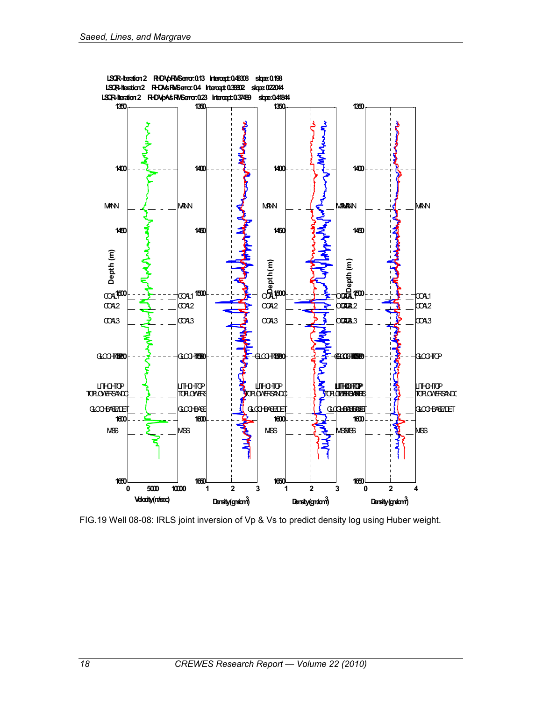

FIG.19 Well 08-08: IRLS joint inversion of Vp & Vs to predict density log using Huber weight.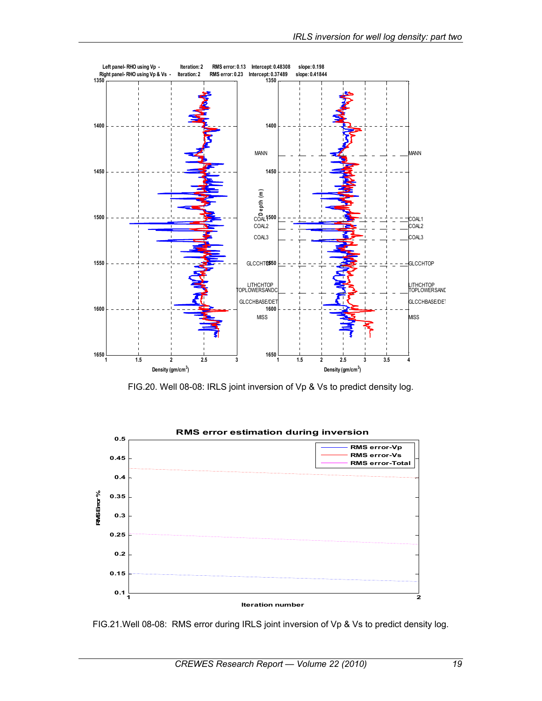

FIG.20. Well 08-08: IRLS joint inversion of Vp & Vs to predict density log.